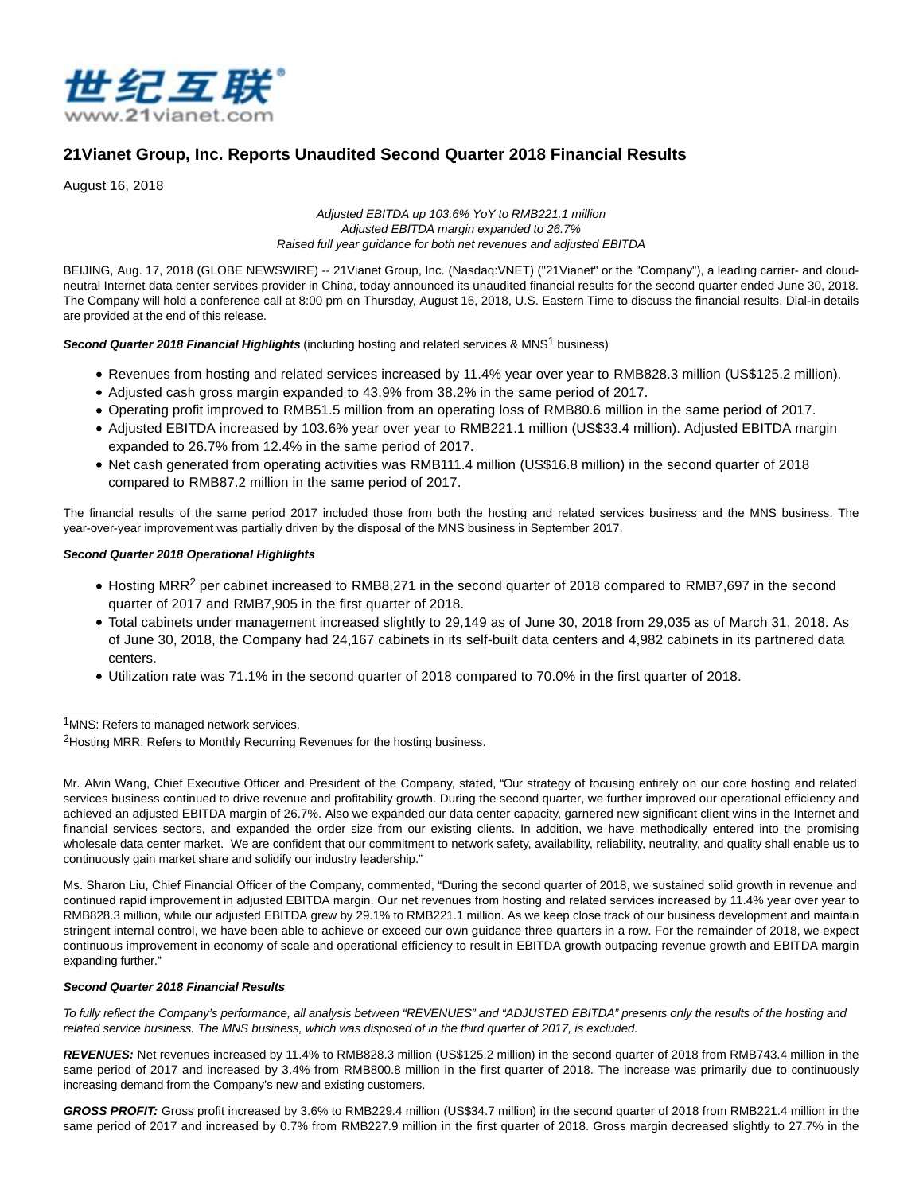

# **21Vianet Group, Inc. Reports Unaudited Second Quarter 2018 Financial Results**

August 16, 2018

Adjusted EBITDA up 103.6% YoY to RMB221.1 million Adjusted EBITDA margin expanded to 26.7% Raised full year guidance for both net revenues and adjusted EBITDA

BEIJING, Aug. 17, 2018 (GLOBE NEWSWIRE) -- 21Vianet Group, Inc. (Nasdaq:VNET) ("21Vianet" or the "Company"), a leading carrier- and cloudneutral Internet data center services provider in China, today announced its unaudited financial results for the second quarter ended June 30, 2018. The Company will hold a conference call at 8:00 pm on Thursday, August 16, 2018, U.S. Eastern Time to discuss the financial results. Dial-in details are provided at the end of this release.

### **Second Quarter 2018 Financial Highlights** (including hosting and related services & MNS<sup>1</sup> business)

- Revenues from hosting and related services increased by 11.4% year over year to RMB828.3 million (US\$125.2 million).
- Adjusted cash gross margin expanded to 43.9% from 38.2% in the same period of 2017.
- Operating profit improved to RMB51.5 million from an operating loss of RMB80.6 million in the same period of 2017.
- Adjusted EBITDA increased by 103.6% year over year to RMB221.1 million (US\$33.4 million). Adjusted EBITDA margin expanded to 26.7% from 12.4% in the same period of 2017.
- Net cash generated from operating activities was RMB111.4 million (US\$16.8 million) in the second quarter of 2018 compared to RMB87.2 million in the same period of 2017.

The financial results of the same period 2017 included those from both the hosting and related services business and the MNS business. The year-over-year improvement was partially driven by the disposal of the MNS business in September 2017.

### **Second Quarter 2018 Operational Highlights**

- Hosting MRR<sup>2</sup> per cabinet increased to RMB8,271 in the second quarter of 2018 compared to RMB7,697 in the second quarter of 2017 and RMB7,905 in the first quarter of 2018.
- Total cabinets under management increased slightly to 29,149 as of June 30, 2018 from 29,035 as of March 31, 2018. As of June 30, 2018, the Company had 24,167 cabinets in its self-built data centers and 4,982 cabinets in its partnered data centers.
- Utilization rate was 71.1% in the second quarter of 2018 compared to 70.0% in the first quarter of 2018.

1MNS: Refers to managed network services.

\_\_\_\_\_\_\_\_\_\_\_\_\_\_

Mr. Alvin Wang, Chief Executive Officer and President of the Company, stated, "Our strategy of focusing entirely on our core hosting and related services business continued to drive revenue and profitability growth. During the second quarter, we further improved our operational efficiency and achieved an adjusted EBITDA margin of 26.7%. Also we expanded our data center capacity, garnered new significant client wins in the Internet and financial services sectors, and expanded the order size from our existing clients. In addition, we have methodically entered into the promising wholesale data center market. We are confident that our commitment to network safety, availability, reliability, neutrality, and quality shall enable us to continuously gain market share and solidify our industry leadership."

Ms. Sharon Liu, Chief Financial Officer of the Company, commented, "During the second quarter of 2018, we sustained solid growth in revenue and continued rapid improvement in adjusted EBITDA margin. Our net revenues from hosting and related services increased by 11.4% year over year to RMB828.3 million, while our adjusted EBITDA grew by 29.1% to RMB221.1 million. As we keep close track of our business development and maintain stringent internal control, we have been able to achieve or exceed our own guidance three quarters in a row. For the remainder of 2018, we expect continuous improvement in economy of scale and operational efficiency to result in EBITDA growth outpacing revenue growth and EBITDA margin expanding further."

### **Second Quarter 2018 Financial Results**

To fully reflect the Company's performance, all analysis between "REVENUES" and "ADJUSTED EBITDA" presents only the results of the hosting and related service business. The MNS business, which was disposed of in the third quarter of 2017, is excluded.

**REVENUES:** Net revenues increased by 11.4% to RMB828.3 million (US\$125.2 million) in the second quarter of 2018 from RMB743.4 million in the same period of 2017 and increased by 3.4% from RMB800.8 million in the first quarter of 2018. The increase was primarily due to continuously increasing demand from the Company's new and existing customers.

**GROSS PROFIT:** Gross profit increased by 3.6% to RMB229.4 million (US\$34.7 million) in the second quarter of 2018 from RMB221.4 million in the same period of 2017 and increased by 0.7% from RMB227.9 million in the first quarter of 2018. Gross margin decreased slightly to 27.7% in the

<sup>&</sup>lt;sup>2</sup>Hosting MRR: Refers to Monthly Recurring Revenues for the hosting business.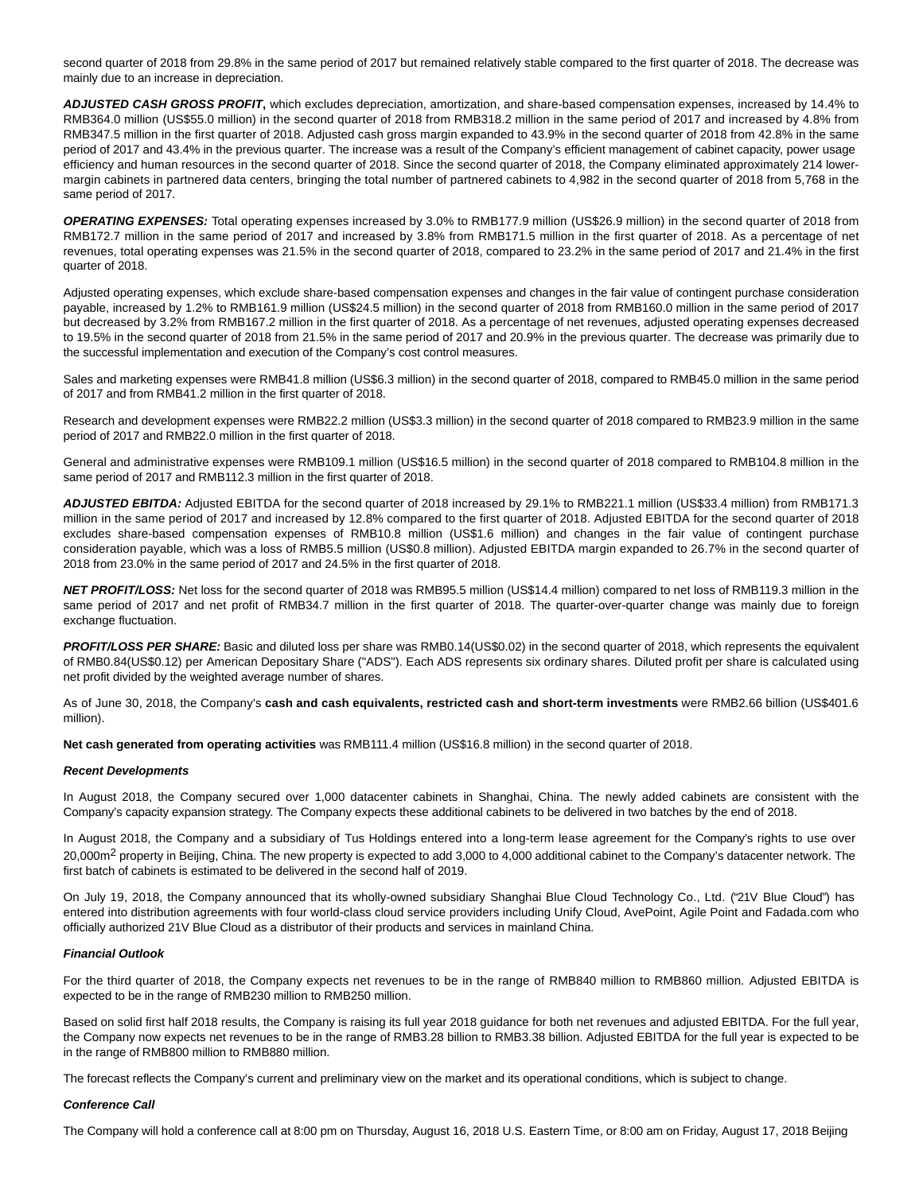second quarter of 2018 from 29.8% in the same period of 2017 but remained relatively stable compared to the first quarter of 2018. The decrease was mainly due to an increase in depreciation.

**ADJUSTED CASH GROSS PROFIT,** which excludes depreciation, amortization, and share-based compensation expenses, increased by 14.4% to RMB364.0 million (US\$55.0 million) in the second quarter of 2018 from RMB318.2 million in the same period of 2017 and increased by 4.8% from RMB347.5 million in the first quarter of 2018. Adjusted cash gross margin expanded to 43.9% in the second quarter of 2018 from 42.8% in the same period of 2017 and 43.4% in the previous quarter. The increase was a result of the Company's efficient management of cabinet capacity, power usage efficiency and human resources in the second quarter of 2018. Since the second quarter of 2018, the Company eliminated approximately 214 lowermargin cabinets in partnered data centers, bringing the total number of partnered cabinets to 4,982 in the second quarter of 2018 from 5,768 in the same period of 2017.

**OPERATING EXPENSES:** Total operating expenses increased by 3.0% to RMB177.9 million (US\$26.9 million) in the second quarter of 2018 from RMB172.7 million in the same period of 2017 and increased by 3.8% from RMB171.5 million in the first quarter of 2018. As a percentage of net revenues, total operating expenses was 21.5% in the second quarter of 2018, compared to 23.2% in the same period of 2017 and 21.4% in the first quarter of 2018.

Adjusted operating expenses, which exclude share-based compensation expenses and changes in the fair value of contingent purchase consideration payable, increased by 1.2% to RMB161.9 million (US\$24.5 million) in the second quarter of 2018 from RMB160.0 million in the same period of 2017 but decreased by 3.2% from RMB167.2 million in the first quarter of 2018. As a percentage of net revenues, adjusted operating expenses decreased to 19.5% in the second quarter of 2018 from 21.5% in the same period of 2017 and 20.9% in the previous quarter. The decrease was primarily due to the successful implementation and execution of the Company's cost control measures.

Sales and marketing expenses were RMB41.8 million (US\$6.3 million) in the second quarter of 2018, compared to RMB45.0 million in the same period of 2017 and from RMB41.2 million in the first quarter of 2018.

Research and development expenses were RMB22.2 million (US\$3.3 million) in the second quarter of 2018 compared to RMB23.9 million in the same period of 2017 and RMB22.0 million in the first quarter of 2018.

General and administrative expenses were RMB109.1 million (US\$16.5 million) in the second quarter of 2018 compared to RMB104.8 million in the same period of 2017 and RMB112.3 million in the first quarter of 2018.

**ADJUSTED EBITDA:** Adjusted EBITDA for the second quarter of 2018 increased by 29.1% to RMB221.1 million (US\$33.4 million) from RMB171.3 million in the same period of 2017 and increased by 12.8% compared to the first quarter of 2018. Adjusted EBITDA for the second quarter of 2018 excludes share-based compensation expenses of RMB10.8 million (US\$1.6 million) and changes in the fair value of contingent purchase consideration payable, which was a loss of RMB5.5 million (US\$0.8 million). Adjusted EBITDA margin expanded to 26.7% in the second quarter of 2018 from 23.0% in the same period of 2017 and 24.5% in the first quarter of 2018.

**NET PROFIT/LOSS:** Net loss for the second quarter of 2018 was RMB95.5 million (US\$14.4 million) compared to net loss of RMB119.3 million in the same period of 2017 and net profit of RMB34.7 million in the first quarter of 2018. The quarter-over-quarter change was mainly due to foreign exchange fluctuation.

PROFIT/LOSS PER SHARE: Basic and diluted loss per share was RMB0.14(US\$0.02) in the second quarter of 2018, which represents the equivalent of RMB0.84(US\$0.12) per American Depositary Share ("ADS"). Each ADS represents six ordinary shares. Diluted profit per share is calculated using net profit divided by the weighted average number of shares.

As of June 30, 2018, the Company's **cash and cash equivalents, restricted cash and short-term investments** were RMB2.66 billion (US\$401.6 million).

**Net cash generated from operating activities** was RMB111.4 million (US\$16.8 million) in the second quarter of 2018.

#### **Recent Developments**

In August 2018, the Company secured over 1,000 datacenter cabinets in Shanghai, China. The newly added cabinets are consistent with the Company's capacity expansion strategy. The Company expects these additional cabinets to be delivered in two batches by the end of 2018.

In August 2018, the Company and a subsidiary of Tus Holdings entered into a long-term lease agreement for the Company's rights to use over 20,000m<sup>2</sup> property in Beijing, China. The new property is expected to add 3,000 to 4,000 additional cabinet to the Company's datacenter network. The first batch of cabinets is estimated to be delivered in the second half of 2019.

On July 19, 2018, the Company announced that its wholly-owned subsidiary Shanghai Blue Cloud Technology Co., Ltd. ("21V Blue Cloud") has entered into distribution agreements with four world-class cloud service providers including Unify Cloud, AvePoint, Agile Point and Fadada.com who officially authorized 21V Blue Cloud as a distributor of their products and services in mainland China.

#### **Financial Outlook**

For the third quarter of 2018, the Company expects net revenues to be in the range of RMB840 million to RMB860 million. Adjusted EBITDA is expected to be in the range of RMB230 million to RMB250 million.

Based on solid first half 2018 results, the Company is raising its full year 2018 guidance for both net revenues and adjusted EBITDA. For the full year, the Company now expects net revenues to be in the range of RMB3.28 billion to RMB3.38 billion. Adjusted EBITDA for the full year is expected to be in the range of RMB800 million to RMB880 million.

The forecast reflects the Company's current and preliminary view on the market and its operational conditions, which is subject to change.

#### **Conference Call**

The Company will hold a conference call at 8:00 pm on Thursday, August 16, 2018 U.S. Eastern Time, or 8:00 am on Friday, August 17, 2018 Beijing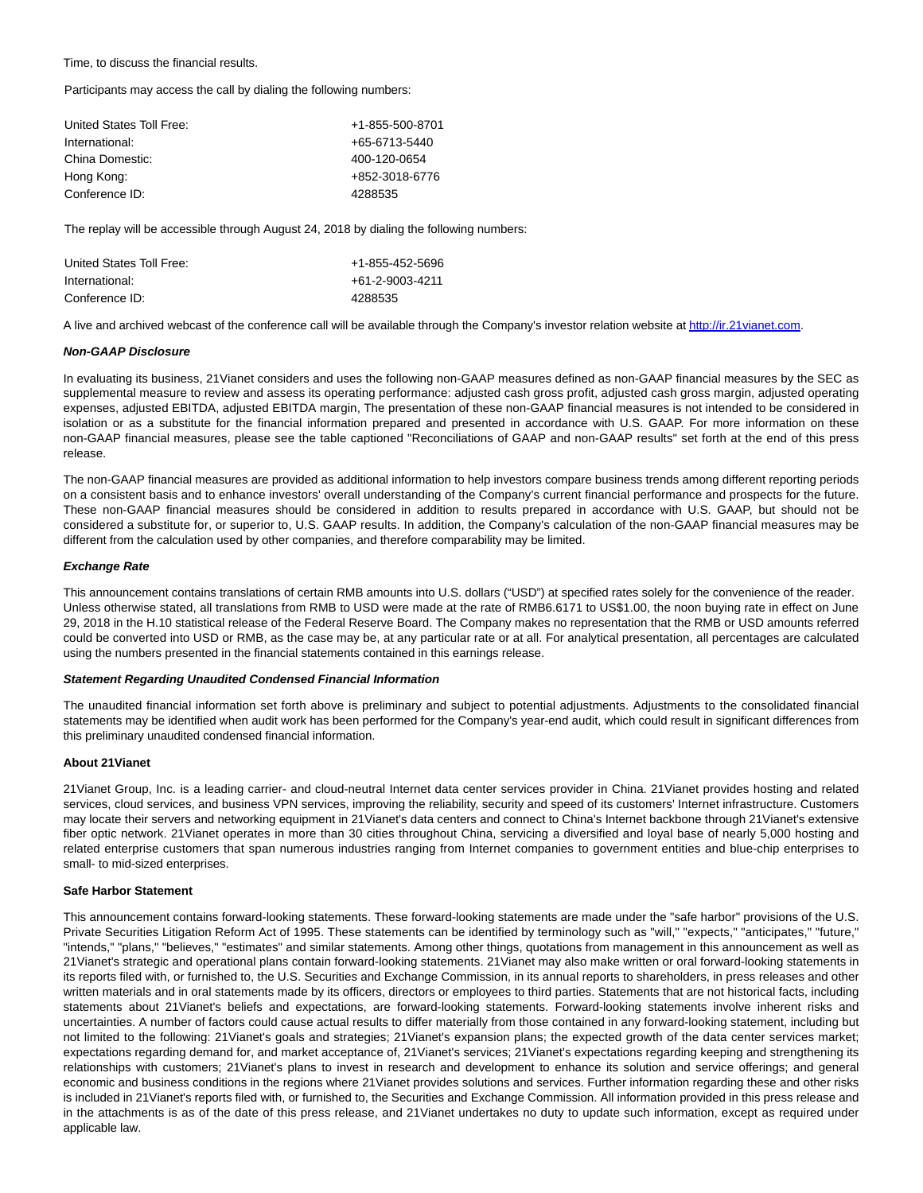Time, to discuss the financial results.

Participants may access the call by dialing the following numbers:

| United States Toll Free: | +1-855-500-8701 |
|--------------------------|-----------------|
| International:           | +65-6713-5440   |
| China Domestic:          | 400-120-0654    |
| Hong Kong:               | +852-3018-6776  |
| Conference ID:           | 4288535         |
|                          |                 |

The replay will be accessible through August 24, 2018 by dialing the following numbers:

| United States Toll Free: | +1-855-452-5696 |
|--------------------------|-----------------|
| International:           | +61-2-9003-4211 |
| Conference ID:           | 4288535         |

A live and archived webcast of the conference call will be available through the Company's investor relation website a[t http://ir.21vianet.com.](https://www.globenewswire.com/Tracker?data=K9UfU0ICwMD9DpZM-49tbQ9T2SNet2hOop4Pn2AMIs_kpLyz-OG9HQudVYRTeQihXVrhyzsjZ2IiVlj50NmQhenmuyPjXG1sJuc8PyBbmx0=)

#### **Non-GAAP Disclosure**

In evaluating its business, 21Vianet considers and uses the following non-GAAP measures defined as non-GAAP financial measures by the SEC as supplemental measure to review and assess its operating performance: adjusted cash gross profit, adjusted cash gross margin, adjusted operating expenses, adjusted EBITDA, adjusted EBITDA margin, The presentation of these non-GAAP financial measures is not intended to be considered in isolation or as a substitute for the financial information prepared and presented in accordance with U.S. GAAP. For more information on these non-GAAP financial measures, please see the table captioned "Reconciliations of GAAP and non-GAAP results" set forth at the end of this press release.

The non-GAAP financial measures are provided as additional information to help investors compare business trends among different reporting periods on a consistent basis and to enhance investors' overall understanding of the Company's current financial performance and prospects for the future. These non-GAAP financial measures should be considered in addition to results prepared in accordance with U.S. GAAP, but should not be considered a substitute for, or superior to, U.S. GAAP results. In addition, the Company's calculation of the non-GAAP financial measures may be different from the calculation used by other companies, and therefore comparability may be limited.

#### **Exchange Rate**

This announcement contains translations of certain RMB amounts into U.S. dollars ("USD") at specified rates solely for the convenience of the reader. Unless otherwise stated, all translations from RMB to USD were made at the rate of RMB6.6171 to US\$1.00, the noon buying rate in effect on June 29, 2018 in the H.10 statistical release of the Federal Reserve Board. The Company makes no representation that the RMB or USD amounts referred could be converted into USD or RMB, as the case may be, at any particular rate or at all. For analytical presentation, all percentages are calculated using the numbers presented in the financial statements contained in this earnings release.

#### **Statement Regarding Unaudited Condensed Financial Information**

The unaudited financial information set forth above is preliminary and subject to potential adjustments. Adjustments to the consolidated financial statements may be identified when audit work has been performed for the Company's year-end audit, which could result in significant differences from this preliminary unaudited condensed financial information.

### **About 21Vianet**

21Vianet Group, Inc. is a leading carrier- and cloud-neutral Internet data center services provider in China. 21Vianet provides hosting and related services, cloud services, and business VPN services, improving the reliability, security and speed of its customers' Internet infrastructure. Customers may locate their servers and networking equipment in 21Vianet's data centers and connect to China's Internet backbone through 21Vianet's extensive fiber optic network. 21Vianet operates in more than 30 cities throughout China, servicing a diversified and loyal base of nearly 5,000 hosting and related enterprise customers that span numerous industries ranging from Internet companies to government entities and blue-chip enterprises to small- to mid-sized enterprises.

#### **Safe Harbor Statement**

This announcement contains forward-looking statements. These forward-looking statements are made under the "safe harbor" provisions of the U.S. Private Securities Litigation Reform Act of 1995. These statements can be identified by terminology such as "will," "expects," "anticipates," "future," "intends," "plans," "believes," "estimates" and similar statements. Among other things, quotations from management in this announcement as well as 21Vianet's strategic and operational plans contain forward-looking statements. 21Vianet may also make written or oral forward-looking statements in its reports filed with, or furnished to, the U.S. Securities and Exchange Commission, in its annual reports to shareholders, in press releases and other written materials and in oral statements made by its officers, directors or employees to third parties. Statements that are not historical facts, including statements about 21Vianet's beliefs and expectations, are forward-looking statements. Forward-looking statements involve inherent risks and uncertainties. A number of factors could cause actual results to differ materially from those contained in any forward-looking statement, including but not limited to the following: 21Vianet's goals and strategies; 21Vianet's expansion plans; the expected growth of the data center services market; expectations regarding demand for, and market acceptance of, 21Vianet's services; 21Vianet's expectations regarding keeping and strengthening its relationships with customers; 21Vianet's plans to invest in research and development to enhance its solution and service offerings; and general economic and business conditions in the regions where 21Vianet provides solutions and services. Further information regarding these and other risks is included in 21Vianet's reports filed with, or furnished to, the Securities and Exchange Commission. All information provided in this press release and in the attachments is as of the date of this press release, and 21Vianet undertakes no duty to update such information, except as required under applicable law.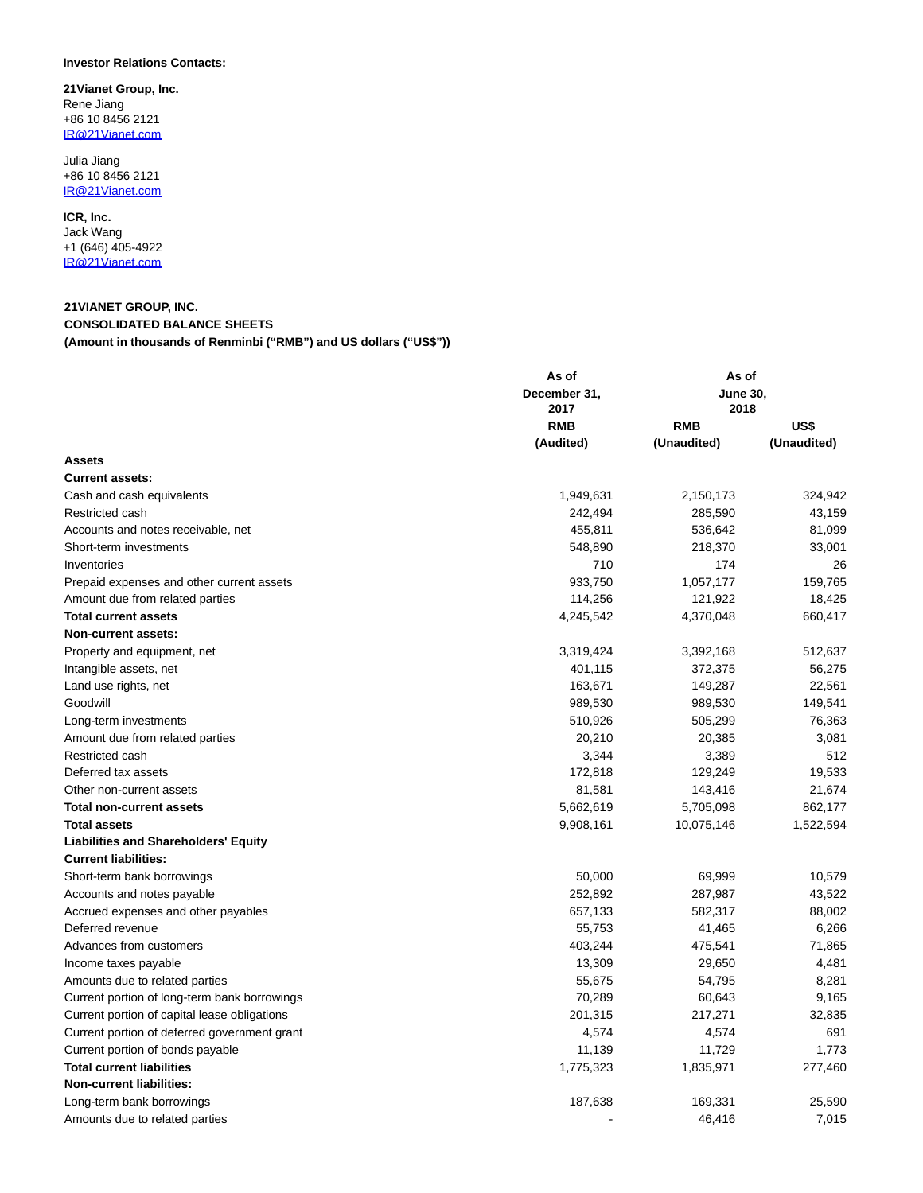## **Investor Relations Contacts:**

**21Vianet Group, Inc.** Rene Jiang +86 10 8456 2121 [IR@21Vianet.com](https://www.globenewswire.com/Tracker?data=5VKQ2zyegBYrwC9JEufznU_ZCNDhDJzzdILm5GeTpShr1Aj5DtUg5-dW21AxqZ1d2IA170O85YyMucsanV5S-A==)

Julia Jiang +86 10 8456 2121 [IR@21Vianet.com](https://www.globenewswire.com/Tracker?data=5VKQ2zyegBYrwC9JEufznY7_ZkmztPXu5-PLqdZVXfb7i99BACB7-SYzXLq1SUdU3A7cgN3dyKNhrPTpd7GMXA==)

**ICR, Inc.** Jack Wang

+1 (646) 405-4922 [IR@21Vianet.com](https://www.globenewswire.com/Tracker?data=5VKQ2zyegBYrwC9JEufznX9OyWcwfAzETkgnFPr2CRiHJWwxPXlokZiNHhcGJbIWK7p9ormsWDLpx1ZFkenbWA==)

## **21VIANET GROUP, INC. CONSOLIDATED BALANCE SHEETS (Amount in thousands of Renminbi ("RMB") and US dollars ("US\$"))**

| December 31,<br><b>June 30,</b><br>2018<br>2017<br><b>RMB</b><br>US\$<br><b>RMB</b><br>(Audited)<br>(Unaudited)<br>(Unaudited)<br><b>Assets</b><br><b>Current assets:</b><br>1,949,631<br>Cash and cash equivalents<br>2,150,173<br>324,942<br>Restricted cash<br>242,494<br>285,590<br>43,159<br>Accounts and notes receivable, net<br>455,811<br>536,642<br>81,099<br>548,890<br>Short-term investments<br>218,370<br>33,001<br>710<br>174<br>Inventories<br>26<br>933,750<br>1,057,177<br>159,765<br>Prepaid expenses and other current assets<br>121,922<br>Amount due from related parties<br>114,256<br>18,425<br>4,245,542<br>4,370,048<br><b>Total current assets</b><br>660,417<br><b>Non-current assets:</b><br>3,392,168<br>512,637<br>Property and equipment, net<br>3,319,424<br>Intangible assets, net<br>401,115<br>372,375<br>56,275<br>Land use rights, net<br>163,671<br>149,287<br>22,561<br>Goodwill<br>989,530<br>149,541<br>989,530<br>510,926<br>505,299<br>76,363<br>Long-term investments<br>20,210<br>20,385<br>Amount due from related parties<br>3,081<br>512<br>Restricted cash<br>3,344<br>3,389<br>172,818<br>129,249<br>19,533<br>Deferred tax assets<br>81,581<br>143,416<br>21,674<br>Other non-current assets<br>5,662,619<br>5,705,098<br>862,177<br><b>Total non-current assets</b><br><b>Total assets</b><br>9,908,161<br>10,075,146<br>1,522,594<br><b>Liabilities and Shareholders' Equity</b><br><b>Current liabilities:</b><br>50,000<br>69,999<br>10,579<br>Short-term bank borrowings<br>252,892<br>287,987<br>43,522<br>Accounts and notes payable<br>Accrued expenses and other payables<br>657,133<br>582,317<br>88,002<br>Deferred revenue<br>55,753<br>41,465<br>6,266<br>403,244<br>Advances from customers<br>475,541<br>71,865<br>13,309<br>29,650<br>4,481<br>Income taxes payable<br>Amounts due to related parties<br>55,675<br>54,795<br>8,281<br>Current portion of long-term bank borrowings<br>70,289<br>60,643<br>9,165<br>201,315<br>217,271<br>Current portion of capital lease obligations<br>32,835<br>4,574<br>4,574<br>691<br>Current portion of deferred government grant<br>11,139<br>11,729<br>Current portion of bonds payable<br>1,773<br><b>Total current liabilities</b><br>1,775,323<br>1,835,971<br>277,460<br><b>Non-current liabilities:</b><br>187,638<br>25,590<br>Long-term bank borrowings<br>169,331<br>7,015<br>Amounts due to related parties<br>46,416 | As of | As of |  |  |
|---------------------------------------------------------------------------------------------------------------------------------------------------------------------------------------------------------------------------------------------------------------------------------------------------------------------------------------------------------------------------------------------------------------------------------------------------------------------------------------------------------------------------------------------------------------------------------------------------------------------------------------------------------------------------------------------------------------------------------------------------------------------------------------------------------------------------------------------------------------------------------------------------------------------------------------------------------------------------------------------------------------------------------------------------------------------------------------------------------------------------------------------------------------------------------------------------------------------------------------------------------------------------------------------------------------------------------------------------------------------------------------------------------------------------------------------------------------------------------------------------------------------------------------------------------------------------------------------------------------------------------------------------------------------------------------------------------------------------------------------------------------------------------------------------------------------------------------------------------------------------------------------------------------------------------------------------------------------------------------------------------------------------------------------------------------------------------------------------------------------------------------------------------------------------------------------------------------------------------------------------------------------------------------------------------------------------------------------------------------------------------------------------------------------------------------------|-------|-------|--|--|
|                                                                                                                                                                                                                                                                                                                                                                                                                                                                                                                                                                                                                                                                                                                                                                                                                                                                                                                                                                                                                                                                                                                                                                                                                                                                                                                                                                                                                                                                                                                                                                                                                                                                                                                                                                                                                                                                                                                                                                                                                                                                                                                                                                                                                                                                                                                                                                                                                                             |       |       |  |  |
|                                                                                                                                                                                                                                                                                                                                                                                                                                                                                                                                                                                                                                                                                                                                                                                                                                                                                                                                                                                                                                                                                                                                                                                                                                                                                                                                                                                                                                                                                                                                                                                                                                                                                                                                                                                                                                                                                                                                                                                                                                                                                                                                                                                                                                                                                                                                                                                                                                             |       |       |  |  |
|                                                                                                                                                                                                                                                                                                                                                                                                                                                                                                                                                                                                                                                                                                                                                                                                                                                                                                                                                                                                                                                                                                                                                                                                                                                                                                                                                                                                                                                                                                                                                                                                                                                                                                                                                                                                                                                                                                                                                                                                                                                                                                                                                                                                                                                                                                                                                                                                                                             |       |       |  |  |
|                                                                                                                                                                                                                                                                                                                                                                                                                                                                                                                                                                                                                                                                                                                                                                                                                                                                                                                                                                                                                                                                                                                                                                                                                                                                                                                                                                                                                                                                                                                                                                                                                                                                                                                                                                                                                                                                                                                                                                                                                                                                                                                                                                                                                                                                                                                                                                                                                                             |       |       |  |  |
|                                                                                                                                                                                                                                                                                                                                                                                                                                                                                                                                                                                                                                                                                                                                                                                                                                                                                                                                                                                                                                                                                                                                                                                                                                                                                                                                                                                                                                                                                                                                                                                                                                                                                                                                                                                                                                                                                                                                                                                                                                                                                                                                                                                                                                                                                                                                                                                                                                             |       |       |  |  |
|                                                                                                                                                                                                                                                                                                                                                                                                                                                                                                                                                                                                                                                                                                                                                                                                                                                                                                                                                                                                                                                                                                                                                                                                                                                                                                                                                                                                                                                                                                                                                                                                                                                                                                                                                                                                                                                                                                                                                                                                                                                                                                                                                                                                                                                                                                                                                                                                                                             |       |       |  |  |
|                                                                                                                                                                                                                                                                                                                                                                                                                                                                                                                                                                                                                                                                                                                                                                                                                                                                                                                                                                                                                                                                                                                                                                                                                                                                                                                                                                                                                                                                                                                                                                                                                                                                                                                                                                                                                                                                                                                                                                                                                                                                                                                                                                                                                                                                                                                                                                                                                                             |       |       |  |  |
|                                                                                                                                                                                                                                                                                                                                                                                                                                                                                                                                                                                                                                                                                                                                                                                                                                                                                                                                                                                                                                                                                                                                                                                                                                                                                                                                                                                                                                                                                                                                                                                                                                                                                                                                                                                                                                                                                                                                                                                                                                                                                                                                                                                                                                                                                                                                                                                                                                             |       |       |  |  |
|                                                                                                                                                                                                                                                                                                                                                                                                                                                                                                                                                                                                                                                                                                                                                                                                                                                                                                                                                                                                                                                                                                                                                                                                                                                                                                                                                                                                                                                                                                                                                                                                                                                                                                                                                                                                                                                                                                                                                                                                                                                                                                                                                                                                                                                                                                                                                                                                                                             |       |       |  |  |
|                                                                                                                                                                                                                                                                                                                                                                                                                                                                                                                                                                                                                                                                                                                                                                                                                                                                                                                                                                                                                                                                                                                                                                                                                                                                                                                                                                                                                                                                                                                                                                                                                                                                                                                                                                                                                                                                                                                                                                                                                                                                                                                                                                                                                                                                                                                                                                                                                                             |       |       |  |  |
|                                                                                                                                                                                                                                                                                                                                                                                                                                                                                                                                                                                                                                                                                                                                                                                                                                                                                                                                                                                                                                                                                                                                                                                                                                                                                                                                                                                                                                                                                                                                                                                                                                                                                                                                                                                                                                                                                                                                                                                                                                                                                                                                                                                                                                                                                                                                                                                                                                             |       |       |  |  |
|                                                                                                                                                                                                                                                                                                                                                                                                                                                                                                                                                                                                                                                                                                                                                                                                                                                                                                                                                                                                                                                                                                                                                                                                                                                                                                                                                                                                                                                                                                                                                                                                                                                                                                                                                                                                                                                                                                                                                                                                                                                                                                                                                                                                                                                                                                                                                                                                                                             |       |       |  |  |
|                                                                                                                                                                                                                                                                                                                                                                                                                                                                                                                                                                                                                                                                                                                                                                                                                                                                                                                                                                                                                                                                                                                                                                                                                                                                                                                                                                                                                                                                                                                                                                                                                                                                                                                                                                                                                                                                                                                                                                                                                                                                                                                                                                                                                                                                                                                                                                                                                                             |       |       |  |  |
|                                                                                                                                                                                                                                                                                                                                                                                                                                                                                                                                                                                                                                                                                                                                                                                                                                                                                                                                                                                                                                                                                                                                                                                                                                                                                                                                                                                                                                                                                                                                                                                                                                                                                                                                                                                                                                                                                                                                                                                                                                                                                                                                                                                                                                                                                                                                                                                                                                             |       |       |  |  |
|                                                                                                                                                                                                                                                                                                                                                                                                                                                                                                                                                                                                                                                                                                                                                                                                                                                                                                                                                                                                                                                                                                                                                                                                                                                                                                                                                                                                                                                                                                                                                                                                                                                                                                                                                                                                                                                                                                                                                                                                                                                                                                                                                                                                                                                                                                                                                                                                                                             |       |       |  |  |
|                                                                                                                                                                                                                                                                                                                                                                                                                                                                                                                                                                                                                                                                                                                                                                                                                                                                                                                                                                                                                                                                                                                                                                                                                                                                                                                                                                                                                                                                                                                                                                                                                                                                                                                                                                                                                                                                                                                                                                                                                                                                                                                                                                                                                                                                                                                                                                                                                                             |       |       |  |  |
|                                                                                                                                                                                                                                                                                                                                                                                                                                                                                                                                                                                                                                                                                                                                                                                                                                                                                                                                                                                                                                                                                                                                                                                                                                                                                                                                                                                                                                                                                                                                                                                                                                                                                                                                                                                                                                                                                                                                                                                                                                                                                                                                                                                                                                                                                                                                                                                                                                             |       |       |  |  |
|                                                                                                                                                                                                                                                                                                                                                                                                                                                                                                                                                                                                                                                                                                                                                                                                                                                                                                                                                                                                                                                                                                                                                                                                                                                                                                                                                                                                                                                                                                                                                                                                                                                                                                                                                                                                                                                                                                                                                                                                                                                                                                                                                                                                                                                                                                                                                                                                                                             |       |       |  |  |
|                                                                                                                                                                                                                                                                                                                                                                                                                                                                                                                                                                                                                                                                                                                                                                                                                                                                                                                                                                                                                                                                                                                                                                                                                                                                                                                                                                                                                                                                                                                                                                                                                                                                                                                                                                                                                                                                                                                                                                                                                                                                                                                                                                                                                                                                                                                                                                                                                                             |       |       |  |  |
|                                                                                                                                                                                                                                                                                                                                                                                                                                                                                                                                                                                                                                                                                                                                                                                                                                                                                                                                                                                                                                                                                                                                                                                                                                                                                                                                                                                                                                                                                                                                                                                                                                                                                                                                                                                                                                                                                                                                                                                                                                                                                                                                                                                                                                                                                                                                                                                                                                             |       |       |  |  |
|                                                                                                                                                                                                                                                                                                                                                                                                                                                                                                                                                                                                                                                                                                                                                                                                                                                                                                                                                                                                                                                                                                                                                                                                                                                                                                                                                                                                                                                                                                                                                                                                                                                                                                                                                                                                                                                                                                                                                                                                                                                                                                                                                                                                                                                                                                                                                                                                                                             |       |       |  |  |
|                                                                                                                                                                                                                                                                                                                                                                                                                                                                                                                                                                                                                                                                                                                                                                                                                                                                                                                                                                                                                                                                                                                                                                                                                                                                                                                                                                                                                                                                                                                                                                                                                                                                                                                                                                                                                                                                                                                                                                                                                                                                                                                                                                                                                                                                                                                                                                                                                                             |       |       |  |  |
|                                                                                                                                                                                                                                                                                                                                                                                                                                                                                                                                                                                                                                                                                                                                                                                                                                                                                                                                                                                                                                                                                                                                                                                                                                                                                                                                                                                                                                                                                                                                                                                                                                                                                                                                                                                                                                                                                                                                                                                                                                                                                                                                                                                                                                                                                                                                                                                                                                             |       |       |  |  |
|                                                                                                                                                                                                                                                                                                                                                                                                                                                                                                                                                                                                                                                                                                                                                                                                                                                                                                                                                                                                                                                                                                                                                                                                                                                                                                                                                                                                                                                                                                                                                                                                                                                                                                                                                                                                                                                                                                                                                                                                                                                                                                                                                                                                                                                                                                                                                                                                                                             |       |       |  |  |
|                                                                                                                                                                                                                                                                                                                                                                                                                                                                                                                                                                                                                                                                                                                                                                                                                                                                                                                                                                                                                                                                                                                                                                                                                                                                                                                                                                                                                                                                                                                                                                                                                                                                                                                                                                                                                                                                                                                                                                                                                                                                                                                                                                                                                                                                                                                                                                                                                                             |       |       |  |  |
|                                                                                                                                                                                                                                                                                                                                                                                                                                                                                                                                                                                                                                                                                                                                                                                                                                                                                                                                                                                                                                                                                                                                                                                                                                                                                                                                                                                                                                                                                                                                                                                                                                                                                                                                                                                                                                                                                                                                                                                                                                                                                                                                                                                                                                                                                                                                                                                                                                             |       |       |  |  |
|                                                                                                                                                                                                                                                                                                                                                                                                                                                                                                                                                                                                                                                                                                                                                                                                                                                                                                                                                                                                                                                                                                                                                                                                                                                                                                                                                                                                                                                                                                                                                                                                                                                                                                                                                                                                                                                                                                                                                                                                                                                                                                                                                                                                                                                                                                                                                                                                                                             |       |       |  |  |
|                                                                                                                                                                                                                                                                                                                                                                                                                                                                                                                                                                                                                                                                                                                                                                                                                                                                                                                                                                                                                                                                                                                                                                                                                                                                                                                                                                                                                                                                                                                                                                                                                                                                                                                                                                                                                                                                                                                                                                                                                                                                                                                                                                                                                                                                                                                                                                                                                                             |       |       |  |  |
|                                                                                                                                                                                                                                                                                                                                                                                                                                                                                                                                                                                                                                                                                                                                                                                                                                                                                                                                                                                                                                                                                                                                                                                                                                                                                                                                                                                                                                                                                                                                                                                                                                                                                                                                                                                                                                                                                                                                                                                                                                                                                                                                                                                                                                                                                                                                                                                                                                             |       |       |  |  |
|                                                                                                                                                                                                                                                                                                                                                                                                                                                                                                                                                                                                                                                                                                                                                                                                                                                                                                                                                                                                                                                                                                                                                                                                                                                                                                                                                                                                                                                                                                                                                                                                                                                                                                                                                                                                                                                                                                                                                                                                                                                                                                                                                                                                                                                                                                                                                                                                                                             |       |       |  |  |
|                                                                                                                                                                                                                                                                                                                                                                                                                                                                                                                                                                                                                                                                                                                                                                                                                                                                                                                                                                                                                                                                                                                                                                                                                                                                                                                                                                                                                                                                                                                                                                                                                                                                                                                                                                                                                                                                                                                                                                                                                                                                                                                                                                                                                                                                                                                                                                                                                                             |       |       |  |  |
|                                                                                                                                                                                                                                                                                                                                                                                                                                                                                                                                                                                                                                                                                                                                                                                                                                                                                                                                                                                                                                                                                                                                                                                                                                                                                                                                                                                                                                                                                                                                                                                                                                                                                                                                                                                                                                                                                                                                                                                                                                                                                                                                                                                                                                                                                                                                                                                                                                             |       |       |  |  |
|                                                                                                                                                                                                                                                                                                                                                                                                                                                                                                                                                                                                                                                                                                                                                                                                                                                                                                                                                                                                                                                                                                                                                                                                                                                                                                                                                                                                                                                                                                                                                                                                                                                                                                                                                                                                                                                                                                                                                                                                                                                                                                                                                                                                                                                                                                                                                                                                                                             |       |       |  |  |
|                                                                                                                                                                                                                                                                                                                                                                                                                                                                                                                                                                                                                                                                                                                                                                                                                                                                                                                                                                                                                                                                                                                                                                                                                                                                                                                                                                                                                                                                                                                                                                                                                                                                                                                                                                                                                                                                                                                                                                                                                                                                                                                                                                                                                                                                                                                                                                                                                                             |       |       |  |  |
|                                                                                                                                                                                                                                                                                                                                                                                                                                                                                                                                                                                                                                                                                                                                                                                                                                                                                                                                                                                                                                                                                                                                                                                                                                                                                                                                                                                                                                                                                                                                                                                                                                                                                                                                                                                                                                                                                                                                                                                                                                                                                                                                                                                                                                                                                                                                                                                                                                             |       |       |  |  |
|                                                                                                                                                                                                                                                                                                                                                                                                                                                                                                                                                                                                                                                                                                                                                                                                                                                                                                                                                                                                                                                                                                                                                                                                                                                                                                                                                                                                                                                                                                                                                                                                                                                                                                                                                                                                                                                                                                                                                                                                                                                                                                                                                                                                                                                                                                                                                                                                                                             |       |       |  |  |
|                                                                                                                                                                                                                                                                                                                                                                                                                                                                                                                                                                                                                                                                                                                                                                                                                                                                                                                                                                                                                                                                                                                                                                                                                                                                                                                                                                                                                                                                                                                                                                                                                                                                                                                                                                                                                                                                                                                                                                                                                                                                                                                                                                                                                                                                                                                                                                                                                                             |       |       |  |  |
|                                                                                                                                                                                                                                                                                                                                                                                                                                                                                                                                                                                                                                                                                                                                                                                                                                                                                                                                                                                                                                                                                                                                                                                                                                                                                                                                                                                                                                                                                                                                                                                                                                                                                                                                                                                                                                                                                                                                                                                                                                                                                                                                                                                                                                                                                                                                                                                                                                             |       |       |  |  |
|                                                                                                                                                                                                                                                                                                                                                                                                                                                                                                                                                                                                                                                                                                                                                                                                                                                                                                                                                                                                                                                                                                                                                                                                                                                                                                                                                                                                                                                                                                                                                                                                                                                                                                                                                                                                                                                                                                                                                                                                                                                                                                                                                                                                                                                                                                                                                                                                                                             |       |       |  |  |
|                                                                                                                                                                                                                                                                                                                                                                                                                                                                                                                                                                                                                                                                                                                                                                                                                                                                                                                                                                                                                                                                                                                                                                                                                                                                                                                                                                                                                                                                                                                                                                                                                                                                                                                                                                                                                                                                                                                                                                                                                                                                                                                                                                                                                                                                                                                                                                                                                                             |       |       |  |  |
|                                                                                                                                                                                                                                                                                                                                                                                                                                                                                                                                                                                                                                                                                                                                                                                                                                                                                                                                                                                                                                                                                                                                                                                                                                                                                                                                                                                                                                                                                                                                                                                                                                                                                                                                                                                                                                                                                                                                                                                                                                                                                                                                                                                                                                                                                                                                                                                                                                             |       |       |  |  |
|                                                                                                                                                                                                                                                                                                                                                                                                                                                                                                                                                                                                                                                                                                                                                                                                                                                                                                                                                                                                                                                                                                                                                                                                                                                                                                                                                                                                                                                                                                                                                                                                                                                                                                                                                                                                                                                                                                                                                                                                                                                                                                                                                                                                                                                                                                                                                                                                                                             |       |       |  |  |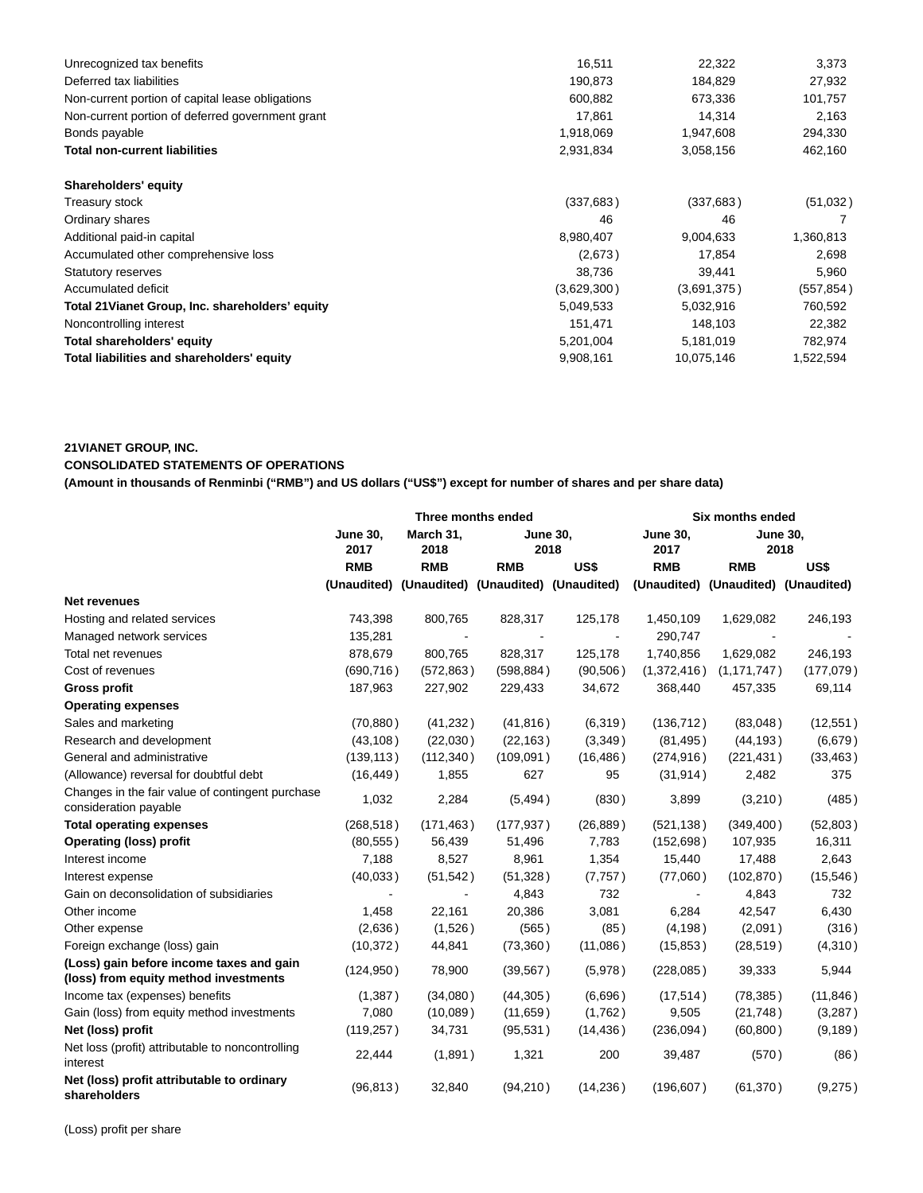| Unrecognized tax benefits                        | 16,511      | 22,322      | 3,373      |
|--------------------------------------------------|-------------|-------------|------------|
| Deferred tax liabilities                         | 190,873     | 184,829     | 27,932     |
| Non-current portion of capital lease obligations | 600,882     | 673,336     | 101,757    |
| Non-current portion of deferred government grant | 17,861      | 14,314      | 2,163      |
| Bonds payable                                    | 1,918,069   | 1,947,608   | 294,330    |
| Total non-current liabilities                    | 2,931,834   | 3,058,156   | 462,160    |
| Shareholders' equity                             |             |             |            |
| Treasury stock                                   | (337, 683)  | (337, 683)  | (51,032)   |
| Ordinary shares                                  | 46          | 46          |            |
| Additional paid-in capital                       | 8,980,407   | 9,004,633   | 1,360,813  |
| Accumulated other comprehensive loss             | (2,673)     | 17,854      | 2,698      |
| <b>Statutory reserves</b>                        | 38,736      | 39,441      | 5,960      |
| Accumulated deficit                              | (3,629,300) | (3,691,375) | (557, 854) |
| Total 21 Vianet Group, Inc. shareholders' equity | 5,049,533   | 5,032,916   | 760,592    |
| Noncontrolling interest                          | 151,471     | 148,103     | 22,382     |
| Total shareholders' equity                       | 5,201,004   | 5,181,019   | 782,974    |
|                                                  |             |             |            |

## **21VIANET GROUP, INC.**

## **CONSOLIDATED STATEMENTS OF OPERATIONS**

**(Amount in thousands of Renminbi ("RMB") and US dollars ("US\$") except for number of shares and per share data)**

|                                                                                   | Three months ended      |                   |            |                                                 | Six months ended                    |               |                         |  |
|-----------------------------------------------------------------------------------|-------------------------|-------------------|------------|-------------------------------------------------|-------------------------------------|---------------|-------------------------|--|
|                                                                                   | <b>June 30,</b><br>2017 | March 31,<br>2018 |            | <b>June 30,</b><br>2018                         | <b>June 30.</b><br>2017             |               | <b>June 30,</b><br>2018 |  |
|                                                                                   | <b>RMB</b>              | <b>RMB</b>        | <b>RMB</b> | US\$                                            | <b>RMB</b>                          | <b>RMB</b>    | US\$                    |  |
|                                                                                   |                         |                   |            | (Unaudited) (Unaudited) (Unaudited) (Unaudited) | (Unaudited) (Unaudited) (Unaudited) |               |                         |  |
| Net revenues                                                                      |                         |                   |            |                                                 |                                     |               |                         |  |
| Hosting and related services                                                      | 743,398                 | 800,765           | 828,317    | 125,178                                         | 1,450,109                           | 1,629,082     | 246,193                 |  |
| Managed network services                                                          | 135,281                 |                   |            |                                                 | 290,747                             |               |                         |  |
| Total net revenues                                                                | 878,679                 | 800,765           | 828,317    | 125,178                                         | 1,740,856                           | 1,629,082     | 246,193                 |  |
| Cost of revenues                                                                  | (690, 716)              | (572, 863)        | (598, 884) | (90, 506)                                       | (1,372,416)                         | (1, 171, 747) | (177,079)               |  |
| <b>Gross profit</b>                                                               | 187,963                 | 227,902           | 229,433    | 34,672                                          | 368,440                             | 457,335       | 69,114                  |  |
| <b>Operating expenses</b>                                                         |                         |                   |            |                                                 |                                     |               |                         |  |
| Sales and marketing                                                               | (70, 880)               | (41, 232)         | (41, 816)  | (6,319)                                         | (136, 712)                          | (83,048)      | (12, 551)               |  |
| Research and development                                                          | (43, 108)               | (22,030)          | (22, 163)  | (3,349)                                         | (81, 495)                           | (44, 193)     | (6,679)                 |  |
| General and administrative                                                        | (139, 113)              | (112, 340)        | (109, 091) | (16, 486)                                       | (274, 916)                          | (221, 431)    | (33, 463)               |  |
| (Allowance) reversal for doubtful debt                                            | (16, 449)               | 1,855             | 627        | 95                                              | (31, 914)                           | 2,482         | 375                     |  |
| Changes in the fair value of contingent purchase<br>consideration payable         | 1,032                   | 2,284             | (5, 494)   | (830)                                           | 3,899                               | (3,210)       | (485)                   |  |
| <b>Total operating expenses</b>                                                   | (268, 518)              | (171, 463)        | (177, 937) | (26, 889)                                       | (521, 138)                          | (349, 400)    | (52, 803)               |  |
| <b>Operating (loss) profit</b>                                                    | (80, 555)               | 56,439            | 51,496     | 7,783                                           | (152, 698)                          | 107,935       | 16,311                  |  |
| Interest income                                                                   | 7,188                   | 8,527             | 8,961      | 1,354                                           | 15,440                              | 17,488        | 2,643                   |  |
| Interest expense                                                                  | (40,033)                | (51, 542)         | (51, 328)  | (7, 757)                                        | (77,060)                            | (102, 870)    | (15, 546)               |  |
| Gain on deconsolidation of subsidiaries                                           |                         |                   | 4,843      | 732                                             | $\blacksquare$                      | 4,843         | 732                     |  |
| Other income                                                                      | 1,458                   | 22,161            | 20,386     | 3,081                                           | 6,284                               | 42,547        | 6,430                   |  |
| Other expense                                                                     | (2,636)                 | (1,526)           | (565)      | (85)                                            | (4, 198)                            | (2,091)       | (316)                   |  |
| Foreign exchange (loss) gain                                                      | (10, 372)               | 44,841            | (73,360)   | (11,086)                                        | (15, 853)                           | (28, 519)     | (4,310)                 |  |
| (Loss) gain before income taxes and gain<br>(loss) from equity method investments | (124, 950)              | 78,900            | (39, 567)  | (5,978)                                         | (228,085)                           | 39,333        | 5,944                   |  |
| Income tax (expenses) benefits                                                    | (1, 387)                | (34,080)          | (44, 305)  | (6,696)                                         | (17, 514)                           | (78, 385)     | (11, 846)               |  |
| Gain (loss) from equity method investments                                        | 7,080                   | (10,089)          | (11, 659)  | (1,762)                                         | 9,505                               | (21, 748)     | (3,287)                 |  |
| Net (loss) profit                                                                 | (119, 257)              | 34,731            | (95, 531)  | (14, 436)                                       | (236,094)                           | (60, 800)     | (9, 189)                |  |
| Net loss (profit) attributable to noncontrolling<br>interest                      | 22,444                  | (1,891)           | 1,321      | 200                                             | 39,487                              | (570)         | (86)                    |  |
| Net (loss) profit attributable to ordinary<br>shareholders                        | (96, 813)               | 32,840            | (94, 210)  | (14, 236)                                       | (196, 607)                          | (61, 370)     | (9,275)                 |  |

(Loss) profit per share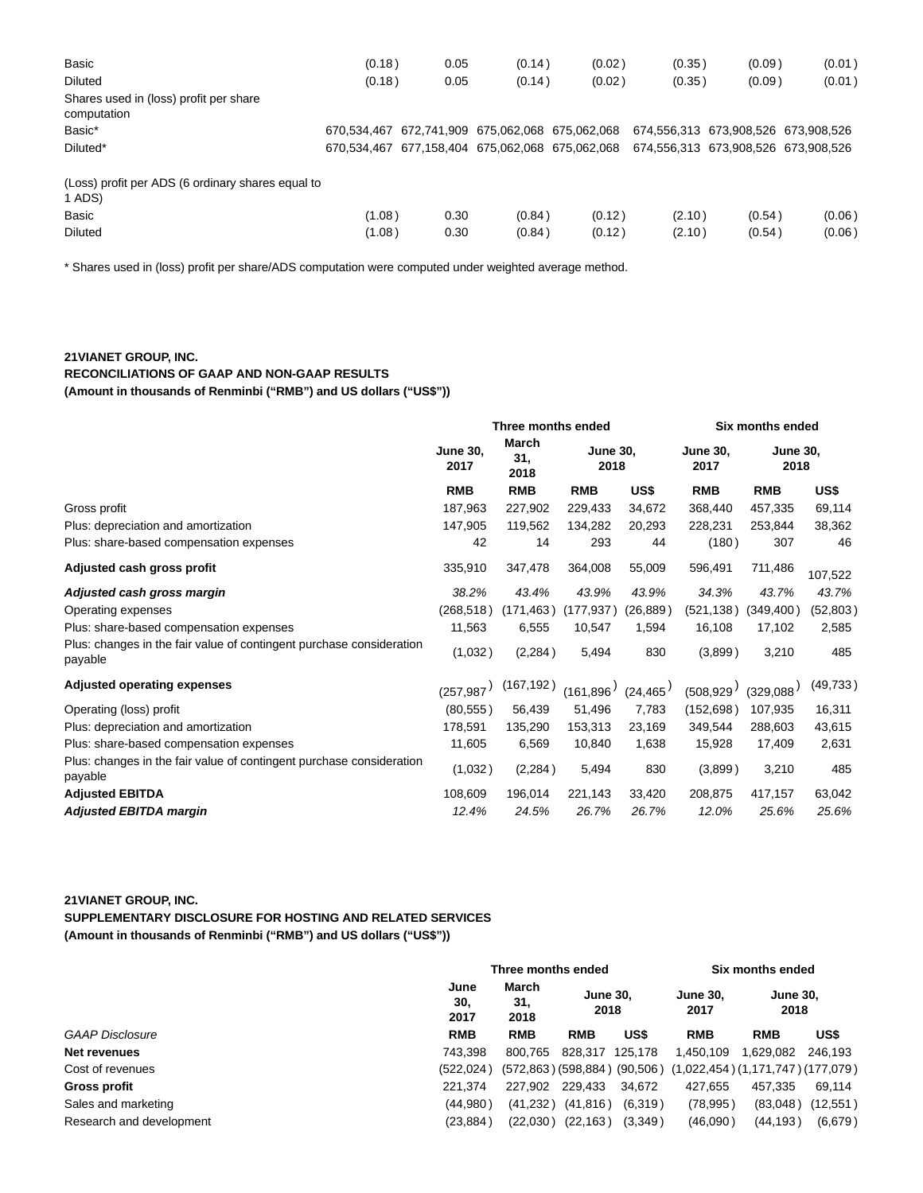| Basic                                                       | (0.18)      | 0.05 | (0.14)                              | (0.02) | (0.35)                              | (0.09) | (0.01) |
|-------------------------------------------------------------|-------------|------|-------------------------------------|--------|-------------------------------------|--------|--------|
| <b>Diluted</b>                                              | (0.18)      | 0.05 | (0.14)                              | (0.02) | (0.35)                              | (0.09) | (0.01) |
| Shares used in (loss) profit per share<br>computation       |             |      |                                     |        |                                     |        |        |
| Basic*                                                      | 670.534.467 |      | 672.741.909 675.062.068 675.062.068 |        | 674.556.313 673.908.526 673.908.526 |        |        |
| Diluted*                                                    | 670.534.467 |      | 677,158,404 675,062,068 675,062,068 |        | 674.556.313 673.908.526 673.908.526 |        |        |
| (Loss) profit per ADS (6 ordinary shares equal to<br>1 ADS) |             |      |                                     |        |                                     |        |        |
| Basic                                                       | (1.08)      | 0.30 | (0.84)                              | (0.12) | (2.10)                              | (0.54) | (0.06) |
| <b>Diluted</b>                                              | (1.08)      | 0.30 | (0.84)                              | (0.12) | (2.10)                              | (0.54) | (0.06) |

\* Shares used in (loss) profit per share/ADS computation were computed under weighted average method.

## **21VIANET GROUP, INC.**

**RECONCILIATIONS OF GAAP AND NON-GAAP RESULTS**

**(Amount in thousands of Renminbi ("RMB") and US dollars ("US\$"))**

|                                                                                 | Three months ended      |                             |            |                         | Six months ended        |            |                         |  |
|---------------------------------------------------------------------------------|-------------------------|-----------------------------|------------|-------------------------|-------------------------|------------|-------------------------|--|
|                                                                                 | <b>June 30.</b><br>2017 | <b>March</b><br>31,<br>2018 |            | <b>June 30,</b><br>2018 | <b>June 30.</b><br>2017 |            | <b>June 30,</b><br>2018 |  |
|                                                                                 | <b>RMB</b>              | <b>RMB</b>                  | <b>RMB</b> | US\$                    | <b>RMB</b>              | <b>RMB</b> | US\$                    |  |
| Gross profit                                                                    | 187,963                 | 227,902                     | 229,433    | 34,672                  | 368,440                 | 457,335    | 69,114                  |  |
| Plus: depreciation and amortization                                             | 147,905                 | 119,562                     | 134,282    | 20,293                  | 228,231                 | 253,844    | 38,362                  |  |
| Plus: share-based compensation expenses                                         | 42                      | 14                          | 293        | 44                      | (180)                   | 307        | 46                      |  |
| Adjusted cash gross profit                                                      | 335,910                 | 347,478                     | 364,008    | 55,009                  | 596,491                 | 711,486    | 107,522                 |  |
| Adjusted cash gross margin                                                      | 38.2%                   | 43.4%                       | 43.9%      | 43.9%                   | 34.3%                   | 43.7%      | 43.7%                   |  |
| Operating expenses                                                              | (268, 518)              | (171, 463)                  | (177, 937) | (26, 889)               | (521, 138)              | (349, 400) | (52, 803)               |  |
| Plus: share-based compensation expenses                                         | 11,563                  | 6,555                       | 10,547     | 1,594                   | 16,108                  | 17,102     | 2,585                   |  |
| Plus: changes in the fair value of contingent purchase consideration<br>payable | (1,032)                 | (2, 284)                    | 5,494      | 830                     | (3,899)                 | 3,210      | 485                     |  |
| <b>Adjusted operating expenses</b>                                              | (257, 987)              | (167, 192)                  | (161.896)  | (24, 465)               | (508, 929)              | (329,088)  | (49, 733)               |  |
| Operating (loss) profit                                                         | (80, 555)               | 56,439                      | 51,496     | 7,783                   | (152, 698)              | 107,935    | 16,311                  |  |
| Plus: depreciation and amortization                                             | 178,591                 | 135,290                     | 153,313    | 23,169                  | 349,544                 | 288,603    | 43,615                  |  |
| Plus: share-based compensation expenses                                         | 11,605                  | 6,569                       | 10,840     | 1,638                   | 15,928                  | 17,409     | 2,631                   |  |
| Plus: changes in the fair value of contingent purchase consideration<br>payable | (1,032)                 | (2, 284)                    | 5,494      | 830                     | (3,899)                 | 3,210      | 485                     |  |
| <b>Adjusted EBITDA</b>                                                          | 108,609                 | 196,014                     | 221,143    | 33,420                  | 208,875                 | 417,157    | 63,042                  |  |
| <b>Adjusted EBITDA margin</b>                                                   | 12.4%                   | 24.5%                       | 26.7%      | 26.7%                   | 12.0%                   | 25.6%      | 25.6%                   |  |

## **21VIANET GROUP, INC.**

**SUPPLEMENTARY DISCLOSURE FOR HOSTING AND RELATED SERVICES (Amount in thousands of Renminbi ("RMB") and US dollars ("US\$"))**

| Three months ended  |                      |            |                       | Six months ended                                                     |            |                                                                                                                                             |
|---------------------|----------------------|------------|-----------------------|----------------------------------------------------------------------|------------|---------------------------------------------------------------------------------------------------------------------------------------------|
| June<br>30.<br>2017 | March<br>31,<br>2018 |            |                       | <b>June 30.</b><br>2017                                              |            |                                                                                                                                             |
| <b>RMB</b>          | <b>RMB</b>           | <b>RMB</b> | US\$                  | <b>RMB</b>                                                           | <b>RMB</b> | US\$                                                                                                                                        |
| 743.398             | 800.765              |            |                       | 1.450.109                                                            | 1.629.082  | 246.193                                                                                                                                     |
| (522.024)           |                      |            |                       |                                                                      |            |                                                                                                                                             |
| 221.374             | 227.902              | 229,433    | 34.672                | 427.655                                                              | 457.335    | 69.114                                                                                                                                      |
| (44,980)            |                      |            |                       |                                                                      |            | (12, 551)                                                                                                                                   |
| (23, 884)           |                      |            | (3,349)               | (46,090)                                                             |            | (6,679)                                                                                                                                     |
|                     |                      |            | (41, 232)<br>(22,030) | <b>June 30.</b><br>2018<br>828.317 125.178<br>(41, 816)<br>(22, 163) | (6,319)    | <b>June 30,</b><br>2018<br>$(572,863)$ $(598,884)$ $(90,506)$ $(1,022,454)$ $(1,171,747)$ $(177,079)$<br>(78, 995)<br>(83,048)<br>(44, 193) |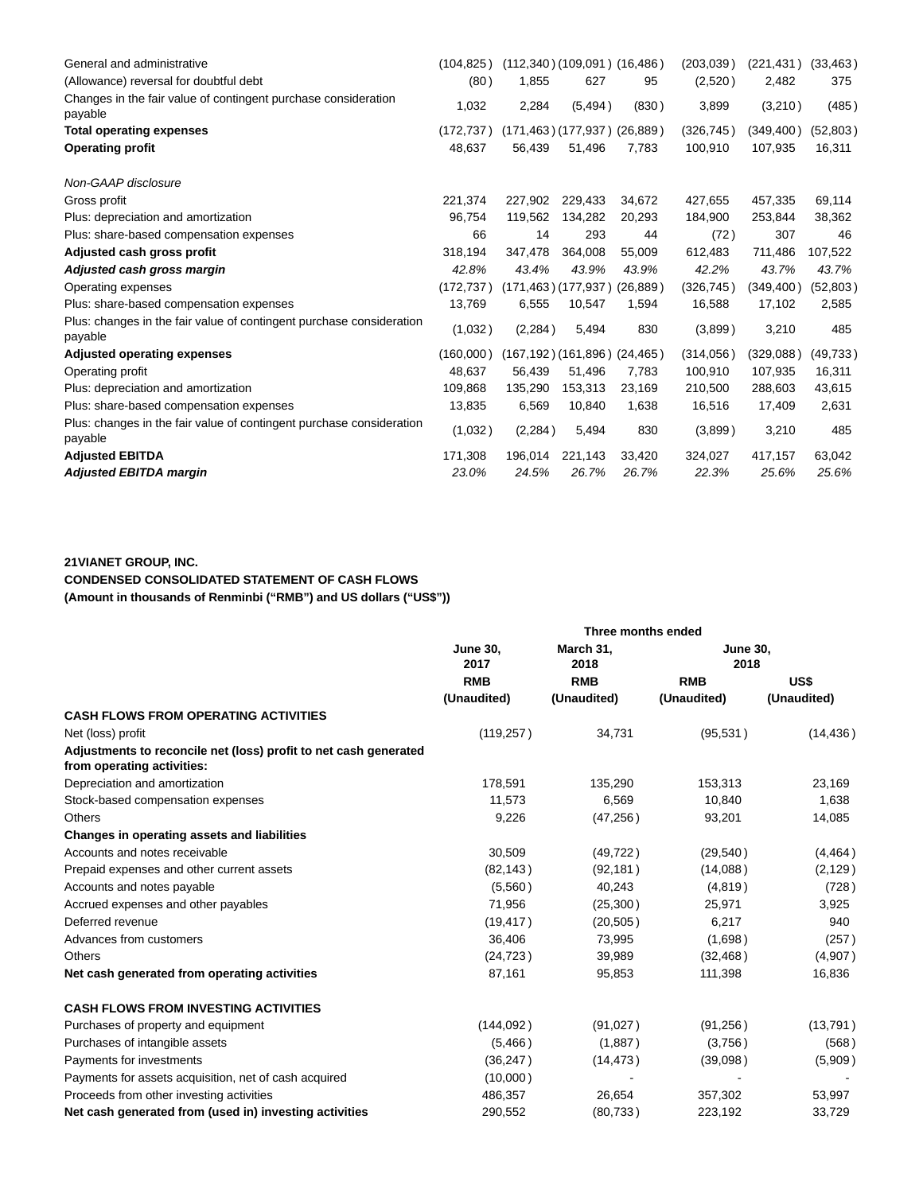| General and administrative                                                      | (104.825)  |          | (112,340)(109,091)(16,486)      |           | (203, 039) | (221, 431) | (33, 463) |
|---------------------------------------------------------------------------------|------------|----------|---------------------------------|-----------|------------|------------|-----------|
| (Allowance) reversal for doubtful debt                                          | (80)       | 1,855    | 627                             | 95        | (2,520)    | 2,482      | 375       |
| Changes in the fair value of contingent purchase consideration<br>payable       | 1,032      | 2,284    | (5, 494)                        | (830)     | 3,899      | (3,210)    | (485)     |
| <b>Total operating expenses</b>                                                 | (172, 737) |          | (171,463)(177,937)(26,889)      |           | (326, 745) | (349, 400) | (52, 803) |
| <b>Operating profit</b>                                                         | 48,637     | 56,439   | 51,496                          | 7,783     | 100,910    | 107,935    | 16,311    |
| Non-GAAP disclosure                                                             |            |          |                                 |           |            |            |           |
| Gross profit                                                                    | 221.374    | 227.902  | 229,433                         | 34.672    | 427,655    | 457,335    | 69,114    |
| Plus: depreciation and amortization                                             | 96.754     | 119.562  | 134.282                         | 20.293    | 184.900    | 253,844    | 38,362    |
| Plus: share-based compensation expenses                                         | 66         | 14       | 293                             | 44        | (72)       | 307        | 46        |
| Adjusted cash gross profit                                                      | 318,194    | 347.478  | 364.008                         | 55,009    | 612,483    | 711,486    | 107,522   |
| Adjusted cash gross margin                                                      | 42.8%      | 43.4%    | 43.9%                           | 43.9%     | 42.2%      | 43.7%      | 43.7%     |
| Operating expenses                                                              | (172, 737) |          | $(171, 463)$ $(177, 937)$       | (26, 889) | (326, 745) | (349,400)  | (52, 803) |
| Plus: share-based compensation expenses                                         | 13,769     | 6,555    | 10,547                          | 1,594     | 16,588     | 17,102     | 2,585     |
| Plus: changes in the fair value of contingent purchase consideration<br>payable | (1,032)    | (2, 284) | 5,494                           | 830       | (3,899)    | 3,210      | 485       |
| <b>Adjusted operating expenses</b>                                              | (160,000)  |          | $(167, 192)$ (161,896) (24,465) |           | (314, 056) | (329,088)  | (49, 733) |
| Operating profit                                                                | 48,637     | 56,439   | 51,496                          | 7,783     | 100,910    | 107,935    | 16,311    |
| Plus: depreciation and amortization                                             | 109,868    | 135,290  | 153,313                         | 23,169    | 210,500    | 288,603    | 43,615    |
| Plus: share-based compensation expenses                                         | 13,835     | 6,569    | 10,840                          | 1,638     | 16,516     | 17,409     | 2,631     |
| Plus: changes in the fair value of contingent purchase consideration<br>payable | (1,032)    | (2, 284) | 5,494                           | 830       | (3,899)    | 3,210      | 485       |
| <b>Adjusted EBITDA</b>                                                          | 171,308    | 196,014  | 221,143                         | 33,420    | 324,027    | 417,157    | 63,042    |
| <b>Adjusted EBITDA margin</b>                                                   | 23.0%      | 24.5%    | 26.7%                           | 26.7%     | 22.3%      | 25.6%      | 25.6%     |

## **21VIANET GROUP, INC.**

**CONDENSED CONSOLIDATED STATEMENT OF CASH FLOWS**

**(Amount in thousands of Renminbi ("RMB") and US dollars ("US\$"))**

|                                                                                                |                         | Three months ended |                         |             |
|------------------------------------------------------------------------------------------------|-------------------------|--------------------|-------------------------|-------------|
|                                                                                                | <b>June 30,</b><br>2017 | March 31.<br>2018  | <b>June 30,</b><br>2018 |             |
|                                                                                                | <b>RMB</b>              | <b>RMB</b>         | <b>RMB</b>              | US\$        |
|                                                                                                | (Unaudited)             | (Unaudited)        | (Unaudited)             | (Unaudited) |
| <b>CASH FLOWS FROM OPERATING ACTIVITIES</b>                                                    |                         |                    |                         |             |
| Net (loss) profit                                                                              | (119, 257)              | 34,731             | (95, 531)               | (14, 436)   |
| Adjustments to reconcile net (loss) profit to net cash generated<br>from operating activities: |                         |                    |                         |             |
| Depreciation and amortization                                                                  | 178,591                 | 135,290            | 153,313                 | 23,169      |
| Stock-based compensation expenses                                                              | 11,573                  | 6,569              | 10,840                  | 1,638       |
| <b>Others</b>                                                                                  | 9,226                   | (47, 256)          | 93,201                  | 14,085      |
| Changes in operating assets and liabilities                                                    |                         |                    |                         |             |
| Accounts and notes receivable                                                                  | 30,509                  | (49, 722)          | (29, 540)               | (4, 464)    |
| Prepaid expenses and other current assets                                                      | (82, 143)               | (92, 181)          | (14,088)                | (2, 129)    |
| Accounts and notes payable                                                                     | (5,560)                 | 40,243             | (4, 819)                | (728)       |
| Accrued expenses and other payables                                                            | 71,956                  | (25,300)           | 25,971                  | 3,925       |
| Deferred revenue                                                                               | (19, 417)               | (20, 505)          | 6,217                   | 940         |
| Advances from customers                                                                        | 36,406                  | 73,995             | (1,698)                 | (257)       |
| <b>Others</b>                                                                                  | (24, 723)               | 39,989             | (32, 468)               | (4,907)     |
| Net cash generated from operating activities                                                   | 87,161                  | 95,853             | 111,398                 | 16,836      |
| <b>CASH FLOWS FROM INVESTING ACTIVITIES</b>                                                    |                         |                    |                         |             |
| Purchases of property and equipment                                                            | (144, 092)              | (91,027)           | (91, 256)               | (13, 791)   |
| Purchases of intangible assets                                                                 | (5,466)                 | (1,887)            | (3,756)                 | (568)       |
| Payments for investments                                                                       | (36, 247)               | (14, 473)          | (39,098)                | (5,909)     |
| Payments for assets acquisition, net of cash acquired                                          | (10,000)                |                    |                         |             |
| Proceeds from other investing activities                                                       | 486,357                 | 26,654             | 357,302                 | 53,997      |
| Net cash generated from (used in) investing activities                                         | 290,552                 | (80, 733)          | 223,192                 | 33,729      |